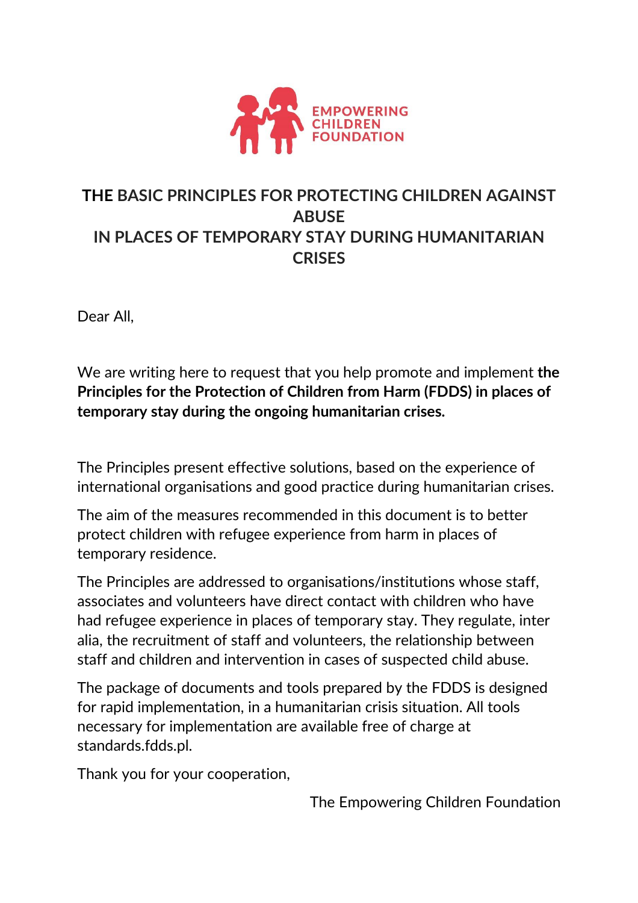

## **THE BASIC PRINCIPLES FOR PROTECTING CHILDREN AGAINST ABUSE IN PLACES OF TEMPORARY STAY DURING HUMANITARIAN CRISES**

Dear All,

We are writing here to request that you help promote and implement **the Principles for the Protection of Children from Harm (FDDS) in places of temporary stay during the ongoing humanitarian crises.**

The Principles present effective solutions, based on the experience of international organisations and good practice during humanitarian crises.

The aim of the measures recommended in this document is to better protect children with refugee experience from harm in places of temporary residence.

The Principles are addressed to organisations/institutions whose staff, associates and volunteers have direct contact with children who have had refugee experience in places of temporary stay. They regulate, inter alia, the recruitment of staff and volunteers, the relationship between staff and children and intervention in cases of suspected child abuse.

The package of documents and tools prepared by the FDDS is designed for rapid implementation, in a humanitarian crisis situation. All tools necessary for implementation are available free of charge at standards.fdds.pl.

Thank you for your cooperation,

The Empowering Children Foundation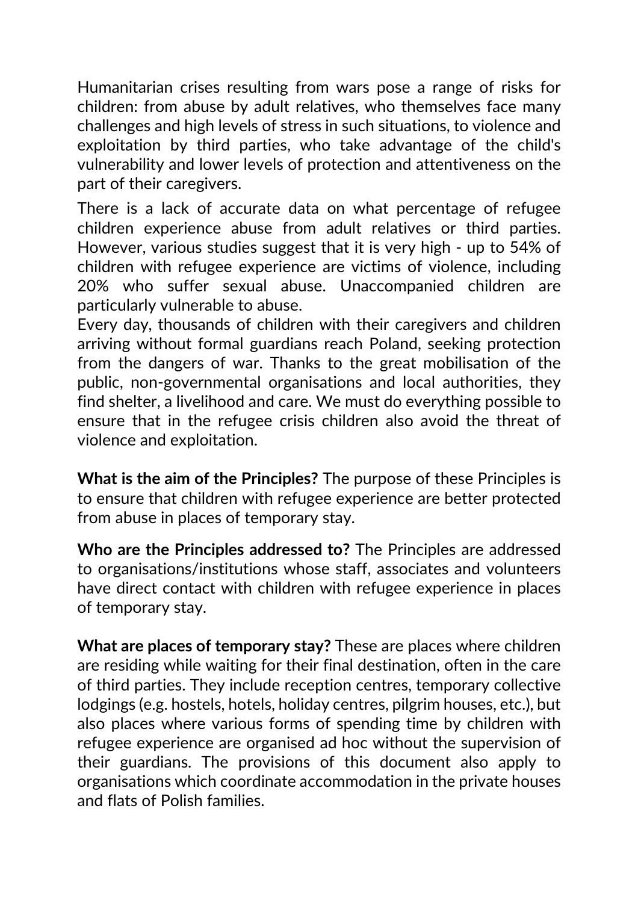Humanitarian crises resulting from wars pose a range of risks for children: from abuse by adult relatives, who themselves face many challenges and high levels of stress in such situations, to violence and exploitation by third parties, who take advantage of the child's vulnerability and lower levels of protection and attentiveness on the part of their caregivers.

There is a lack of accurate data on what percentage of refugee children experience abuse from adult relatives or third parties. However, various studies suggest that it is very high - up to 54% of children with refugee experience are victims of violence, including 20% who suffer sexual abuse. Unaccompanied children are particularly vulnerable to abuse.

Every day, thousands of children with their caregivers and children arriving without formal guardians reach Poland, seeking protection from the dangers of war. Thanks to the great mobilisation of the public, non-governmental organisations and local authorities, they find shelter, a livelihood and care. We must do everything possible to ensure that in the refugee crisis children also avoid the threat of violence and exploitation.

**What is the aim of the Principles?** The purpose of these Principles is to ensure that children with refugee experience are better protected from abuse in places of temporary stay.

**Who are the Principles addressed to?** The Principles are addressed to organisations/institutions whose staff, associates and volunteers have direct contact with children with refugee experience in places of temporary stay.

**What are places of temporary stay?** These are places where children are residing while waiting for their final destination, often in the care of third parties. They include reception centres, temporary collective lodgings (e.g. hostels, hotels, holiday centres, pilgrim houses, etc.), but also places where various forms of spending time by children with refugee experience are organised ad hoc without the supervision of their guardians. The provisions of this document also apply to organisations which coordinate accommodation in the private houses and flats of Polish families.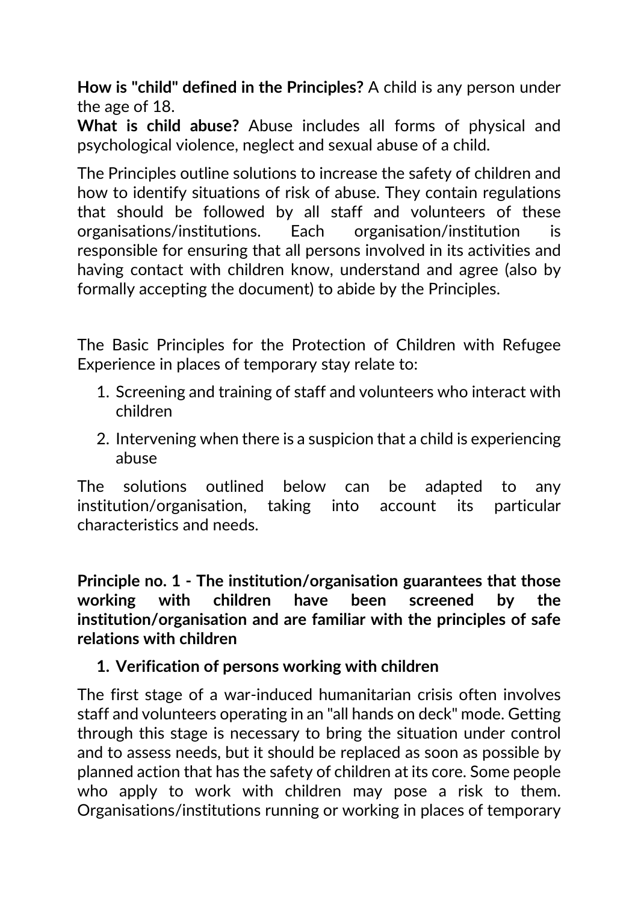**How is "child" defined in the Principles?** A child is any person under the age of 18.

**What is child abuse?** Abuse includes all forms of physical and psychological violence, neglect and sexual abuse of a child.

The Principles outline solutions to increase the safety of children and how to identify situations of risk of abuse. They contain regulations that should be followed by all staff and volunteers of these organisations/institutions. Each organisation/institution is responsible for ensuring that all persons involved in its activities and having contact with children know, understand and agree (also by formally accepting the document) to abide by the Principles.

The Basic Principles for the Protection of Children with Refugee Experience in places of temporary stay relate to:

- 1. Screening and training of staff and volunteers who interact with children
- 2. Intervening when there is a suspicion that a child is experiencing abuse

The solutions outlined below can be adapted to any institution/organisation, taking into account its particular characteristics and needs.

**Principle no. 1 - The institution/organisation guarantees that those working with children have been screened by the institution/organisation and are familiar with the principles of safe relations with children**

### **1. Verification of persons working with children**

The first stage of a war-induced humanitarian crisis often involves staff and volunteers operating in an "all hands on deck" mode. Getting through this stage is necessary to bring the situation under control and to assess needs, but it should be replaced as soon as possible by planned action that has the safety of children at its core. Some people who apply to work with children may pose a risk to them. Organisations/institutions running or working in places of temporary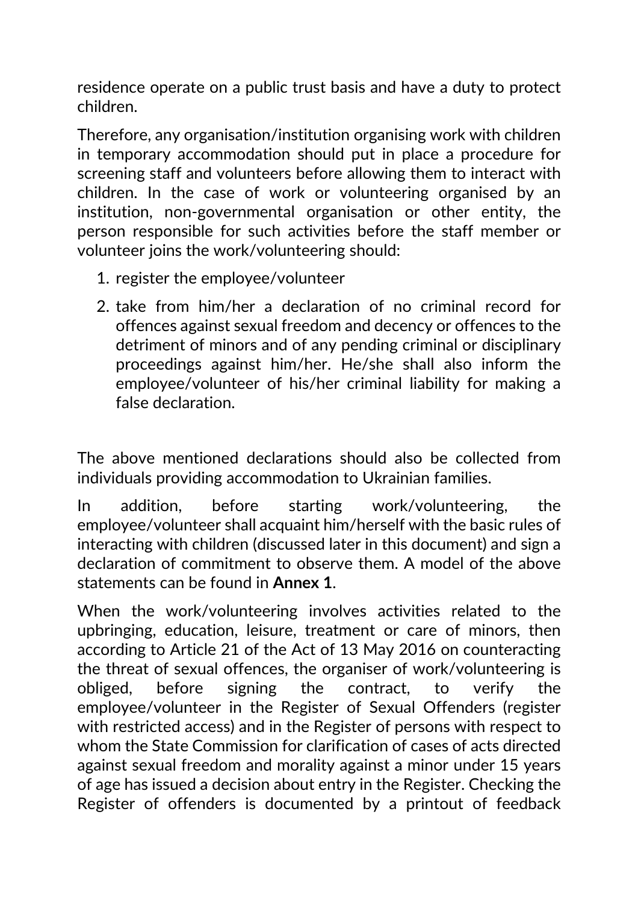residence operate on a public trust basis and have a duty to protect children.

Therefore, any organisation/institution organising work with children in temporary accommodation should put in place a procedure for screening staff and volunteers before allowing them to interact with children. In the case of work or volunteering organised by an institution, non-governmental organisation or other entity, the person responsible for such activities before the staff member or volunteer joins the work/volunteering should:

- 1. register the employee/volunteer
- 2. take from him/her a declaration of no criminal record for offences against sexual freedom and decency or offences to the detriment of minors and of any pending criminal or disciplinary proceedings against him/her. He/she shall also inform the employee/volunteer of his/her criminal liability for making a false declaration.

The above mentioned declarations should also be collected from individuals providing accommodation to Ukrainian families.

In addition, before starting work/volunteering, the employee/volunteer shall acquaint him/herself with the basic rules of interacting with children (discussed later in this document) and sign a declaration of commitment to observe them. A model of the above statements can be found in **Annex 1**.

When the work/volunteering involves activities related to the upbringing, education, leisure, treatment or care of minors, then according to Article 21 of the Act of 13 May 2016 on counteracting the threat of sexual offences, the organiser of work/volunteering is obliged, before signing the contract, to verify the employee/volunteer in the Register of Sexual Offenders (register with restricted access) and in the Register of persons with respect to whom the State Commission for clarification of cases of acts directed against sexual freedom and morality against a minor under 15 years of age has issued a decision about entry in the Register. Checking the Register of offenders is documented by a printout of feedback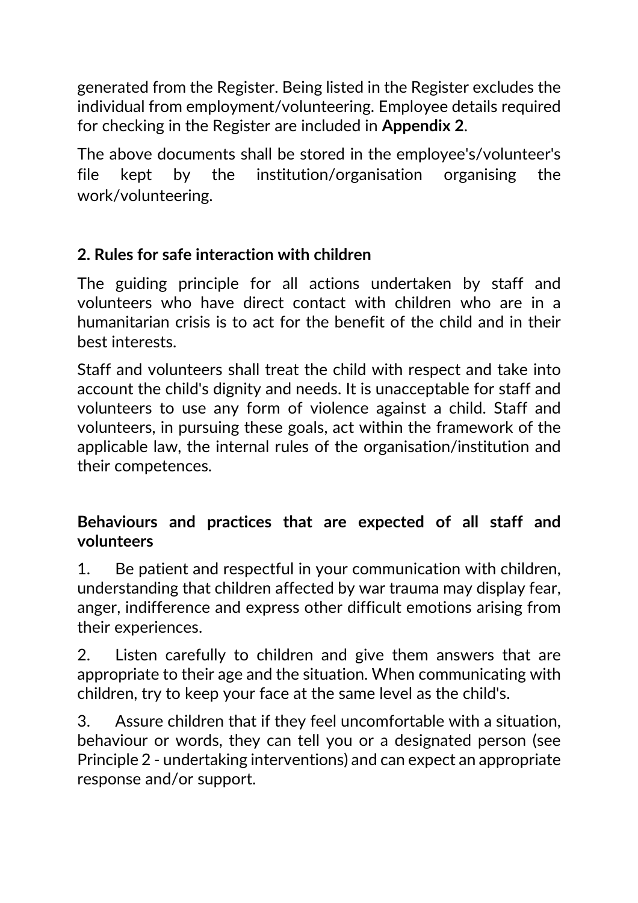generated from the Register. Being listed in the Register excludes the individual from employment/volunteering. Employee details required for checking in the Register are included in **Appendix 2**.

The above documents shall be stored in the employee's/volunteer's file kept by the institution/organisation organising the work/volunteering.

## **2. Rules for safe interaction with children**

The guiding principle for all actions undertaken by staff and volunteers who have direct contact with children who are in a humanitarian crisis is to act for the benefit of the child and in their best interests.

Staff and volunteers shall treat the child with respect and take into account the child's dignity and needs. It is unacceptable for staff and volunteers to use any form of violence against a child. Staff and volunteers, in pursuing these goals, act within the framework of the applicable law, the internal rules of the organisation/institution and their competences.

## **Behaviours and practices that are expected of all staff and volunteers**

1. Be patient and respectful in your communication with children, understanding that children affected by war trauma may display fear, anger, indifference and express other difficult emotions arising from their experiences.

2. Listen carefully to children and give them answers that are appropriate to their age and the situation. When communicating with children, try to keep your face at the same level as the child's.

3. Assure children that if they feel uncomfortable with a situation, behaviour or words, they can tell you or a designated person (see Principle 2 - undertaking interventions) and can expect an appropriate response and/or support.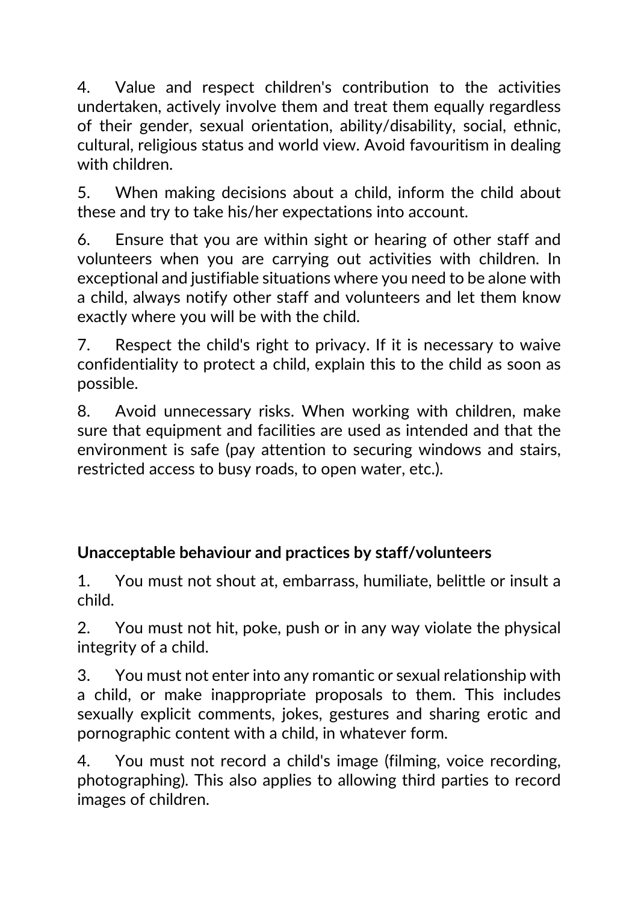4. Value and respect children's contribution to the activities undertaken, actively involve them and treat them equally regardless of their gender, sexual orientation, ability/disability, social, ethnic, cultural, religious status and world view. Avoid favouritism in dealing with children.

5. When making decisions about a child, inform the child about these and try to take his/her expectations into account.

6. Ensure that you are within sight or hearing of other staff and volunteers when you are carrying out activities with children. In exceptional and justifiable situations where you need to be alone with a child, always notify other staff and volunteers and let them know exactly where you will be with the child.

7. Respect the child's right to privacy. If it is necessary to waive confidentiality to protect a child, explain this to the child as soon as possible.

8. Avoid unnecessary risks. When working with children, make sure that equipment and facilities are used as intended and that the environment is safe (pay attention to securing windows and stairs, restricted access to busy roads, to open water, etc.).

# **Unacceptable behaviour and practices by staff/volunteers**

1. You must not shout at, embarrass, humiliate, belittle or insult a child.

2. You must not hit, poke, push or in any way violate the physical integrity of a child.

3. You must not enter into any romantic or sexual relationship with a child, or make inappropriate proposals to them. This includes sexually explicit comments, jokes, gestures and sharing erotic and pornographic content with a child, in whatever form.

4. You must not record a child's image (filming, voice recording, photographing). This also applies to allowing third parties to record images of children.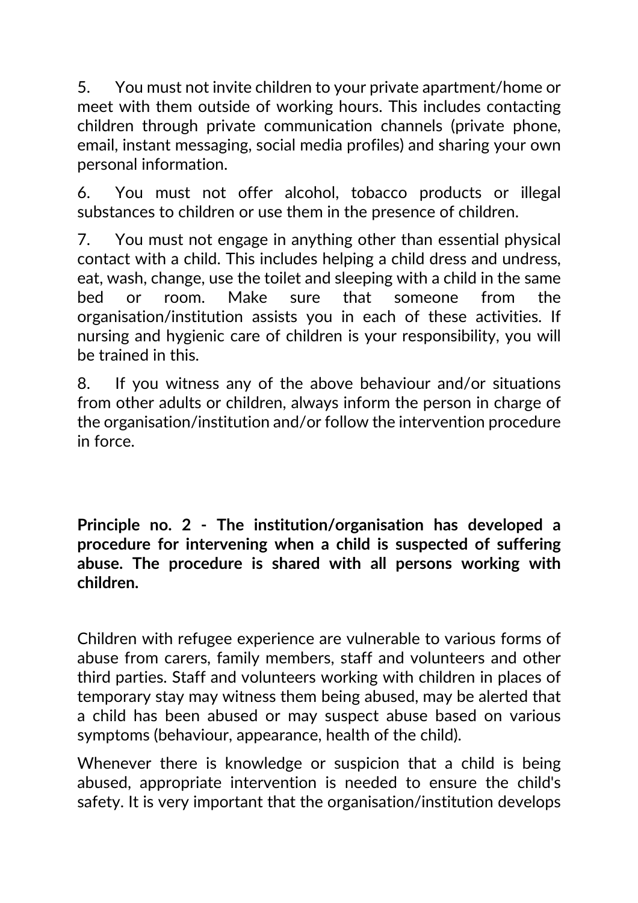5. You must not invite children to your private apartment/home or meet with them outside of working hours. This includes contacting children through private communication channels (private phone, email, instant messaging, social media profiles) and sharing your own personal information.

6. You must not offer alcohol, tobacco products or illegal substances to children or use them in the presence of children.

7. You must not engage in anything other than essential physical contact with a child. This includes helping a child dress and undress, eat, wash, change, use the toilet and sleeping with a child in the same bed or room. Make sure that someone from the organisation/institution assists you in each of these activities. If nursing and hygienic care of children is your responsibility, you will be trained in this.

8. If you witness any of the above behaviour and/or situations from other adults or children, always inform the person in charge of the organisation/institution and/or follow the intervention procedure in force.

**Principle no. 2 - The institution/organisation has developed a procedure for intervening when a child is suspected of suffering abuse. The procedure is shared with all persons working with children.**

Children with refugee experience are vulnerable to various forms of abuse from carers, family members, staff and volunteers and other third parties. Staff and volunteers working with children in places of temporary stay may witness them being abused, may be alerted that a child has been abused or may suspect abuse based on various symptoms (behaviour, appearance, health of the child).

Whenever there is knowledge or suspicion that a child is being abused, appropriate intervention is needed to ensure the child's safety. It is very important that the organisation/institution develops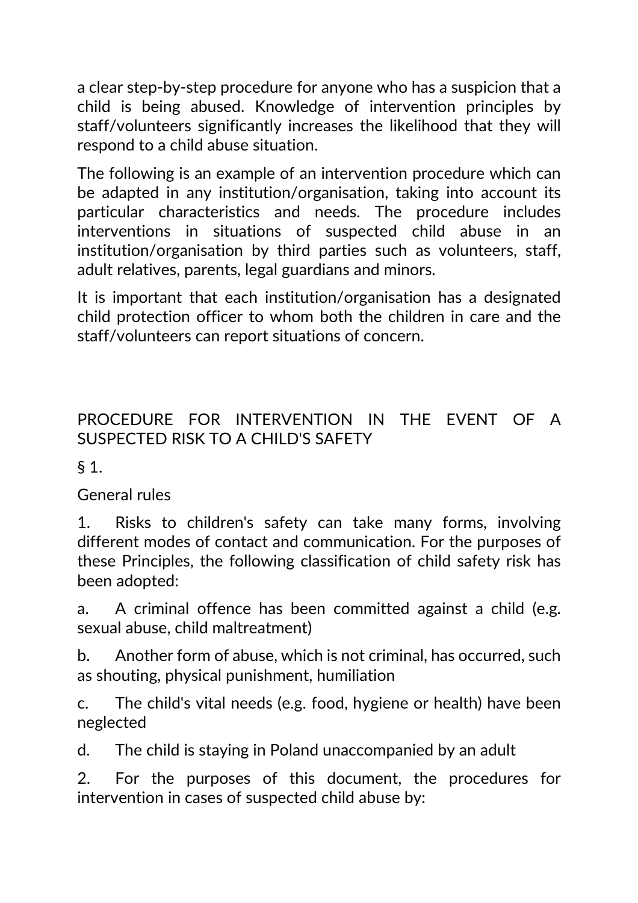a clear step-by-step procedure for anyone who has a suspicion that a child is being abused. Knowledge of intervention principles by staff/volunteers significantly increases the likelihood that they will respond to a child abuse situation.

The following is an example of an intervention procedure which can be adapted in any institution/organisation, taking into account its particular characteristics and needs. The procedure includes interventions in situations of suspected child abuse in an institution/organisation by third parties such as volunteers, staff, adult relatives, parents, legal guardians and minors.

It is important that each institution/organisation has a designated child protection officer to whom both the children in care and the staff/volunteers can report situations of concern.

# PROCEDURE FOR INTERVENTION IN THE EVENT OF A SUSPECTED RISK TO A CHILD'S SAFETY

 $§$  1.

General rules

1. Risks to children's safety can take many forms, involving different modes of contact and communication. For the purposes of these Principles, the following classification of child safety risk has been adopted:

a. A criminal offence has been committed against a child (e.g. sexual abuse, child maltreatment)

b. Another form of abuse, which is not criminal, has occurred, such as shouting, physical punishment, humiliation

c. The child's vital needs (e.g. food, hygiene or health) have been neglected

d. The child is staying in Poland unaccompanied by an adult

2. For the purposes of this document, the procedures for intervention in cases of suspected child abuse by: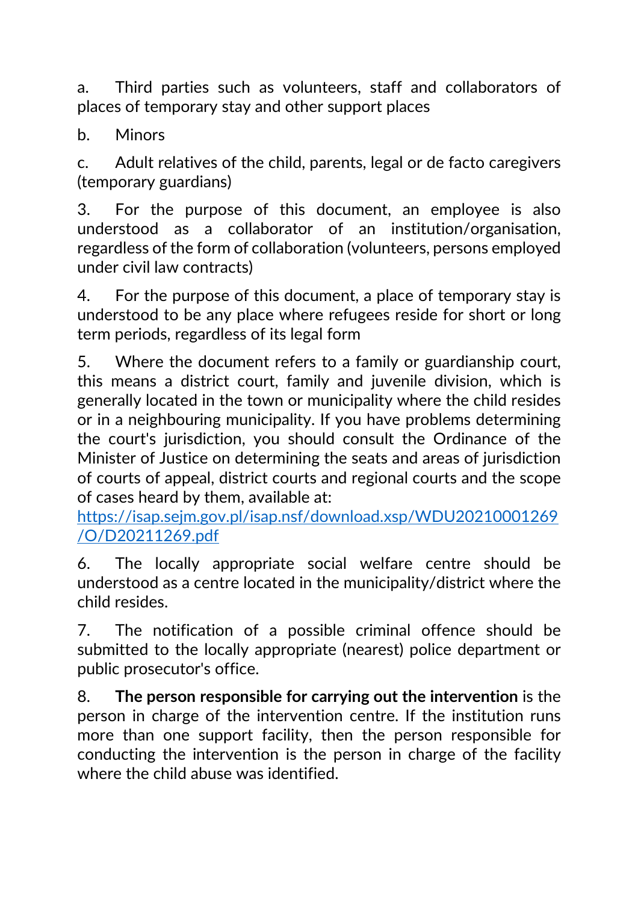a. Third parties such as volunteers, staff and collaborators of places of temporary stay and other support places

b. Minors

c. Adult relatives of the child, parents, legal or de facto caregivers (temporary guardians)

3. For the purpose of this document, an employee is also understood as a collaborator of an institution/organisation, regardless of the form of collaboration (volunteers, persons employed under civil law contracts)

4. For the purpose of this document, a place of temporary stay is understood to be any place where refugees reside for short or long term periods, regardless of its legal form

5. Where the document refers to a family or guardianship court, this means a district court, family and juvenile division, which is generally located in the town or municipality where the child resides or in a neighbouring municipality. If you have problems determining the court's jurisdiction, you should consult the Ordinance of the Minister of Justice on determining the seats and areas of jurisdiction of courts of appeal, district courts and regional courts and the scope of cases heard by them, available at:

https://isap.sejm.gov.pl/isap.nsf/download.xsp/WDU20210001269 /O/D20211269.pdf

6. The locally appropriate social welfare centre should be understood as a centre located in the municipality/district where the child resides.

7. The notification of a possible criminal offence should be submitted to the locally appropriate (nearest) police department or public prosecutor's office.

8. **The person responsible for carrying out the intervention** is the person in charge of the intervention centre. If the institution runs more than one support facility, then the person responsible for conducting the intervention is the person in charge of the facility where the child abuse was identified.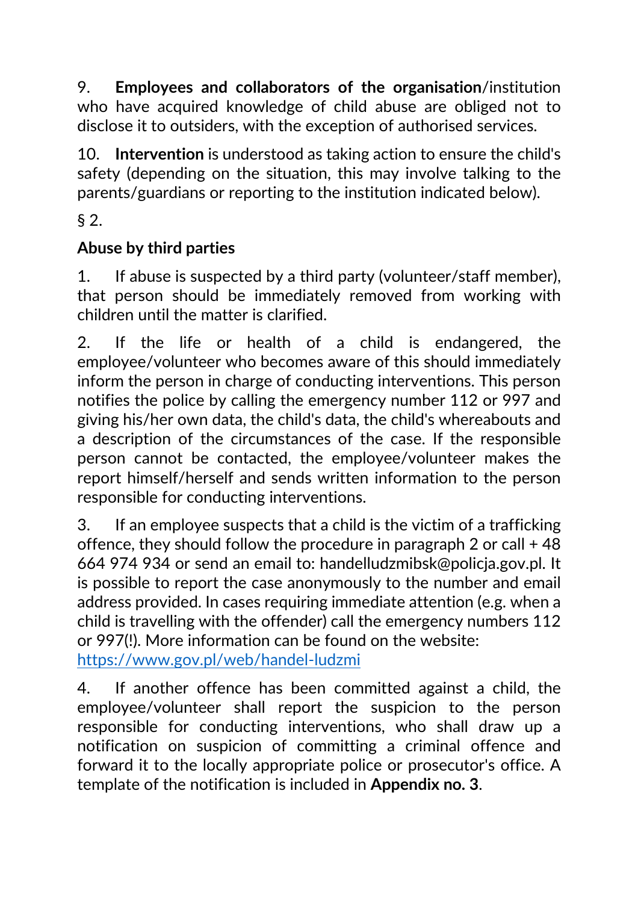9. **Employees and collaborators of the organisation**/institution who have acquired knowledge of child abuse are obliged not to disclose it to outsiders, with the exception of authorised services.

10. **Intervention** is understood as taking action to ensure the child's safety (depending on the situation, this may involve talking to the parents/guardians or reporting to the institution indicated below).

§ 2.

# **Abuse by third parties**

1. If abuse is suspected by a third party (volunteer/staff member), that person should be immediately removed from working with children until the matter is clarified.

2. If the life or health of a child is endangered, the employee/volunteer who becomes aware of this should immediately inform the person in charge of conducting interventions. This person notifies the police by calling the emergency number 112 or 997 and giving his/her own data, the child's data, the child's whereabouts and a description of the circumstances of the case. If the responsible person cannot be contacted, the employee/volunteer makes the report himself/herself and sends written information to the person responsible for conducting interventions.

3. If an employee suspects that a child is the victim of a trafficking offence, they should follow the procedure in paragraph 2 or call + 48 664 974 934 or send an email to: handelludzmibsk@policja.gov.pl. It is possible to report the case anonymously to the number and email address provided. In cases requiring immediate attention (e.g. when a child is travelling with the offender) call the emergency numbers 112 or 997(!). More information can be found on the website: https://www.gov.pl/web/handel-ludzmi

4. If another offence has been committed against a child, the employee/volunteer shall report the suspicion to the person responsible for conducting interventions, who shall draw up a notification on suspicion of committing a criminal offence and forward it to the locally appropriate police or prosecutor's office. A template of the notification is included in **Appendix no. 3**.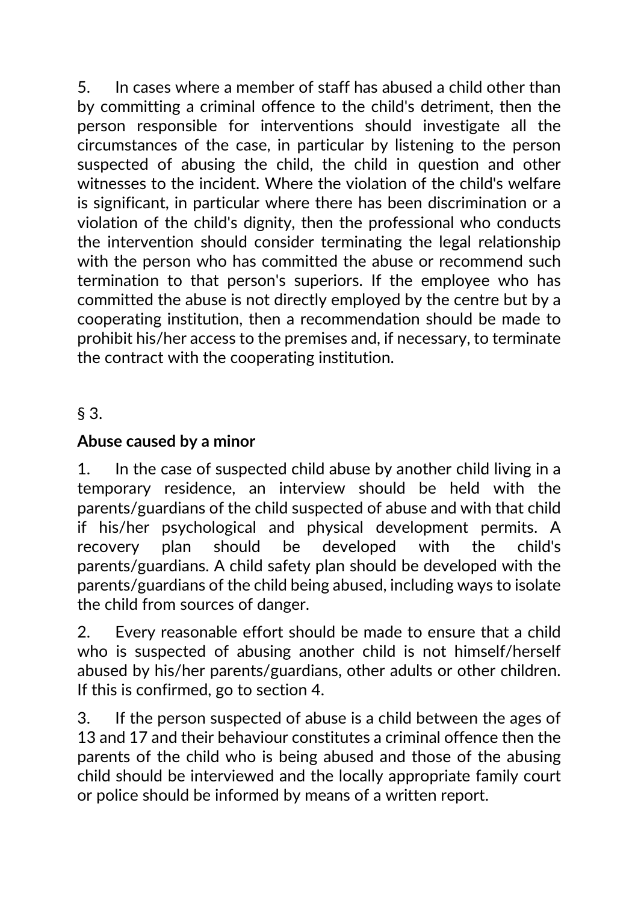5. In cases where a member of staff has abused a child other than by committing a criminal offence to the child's detriment, then the person responsible for interventions should investigate all the circumstances of the case, in particular by listening to the person suspected of abusing the child, the child in question and other witnesses to the incident. Where the violation of the child's welfare is significant, in particular where there has been discrimination or a violation of the child's dignity, then the professional who conducts the intervention should consider terminating the legal relationship with the person who has committed the abuse or recommend such termination to that person's superiors. If the employee who has committed the abuse is not directly employed by the centre but by a cooperating institution, then a recommendation should be made to prohibit his/her access to the premises and, if necessary, to terminate the contract with the cooperating institution.

§ 3.

## **Abuse caused by a minor**

1. In the case of suspected child abuse by another child living in a temporary residence, an interview should be held with the parents/guardians of the child suspected of abuse and with that child if his/her psychological and physical development permits. A recovery plan should be developed with the child's parents/guardians. A child safety plan should be developed with the parents/guardians of the child being abused, including ways to isolate the child from sources of danger.

2. Every reasonable effort should be made to ensure that a child who is suspected of abusing another child is not himself/herself abused by his/her parents/guardians, other adults or other children. If this is confirmed, go to section 4.

3. If the person suspected of abuse is a child between the ages of 13 and 17 and their behaviour constitutes a criminal offence then the parents of the child who is being abused and those of the abusing child should be interviewed and the locally appropriate family court or police should be informed by means of a written report.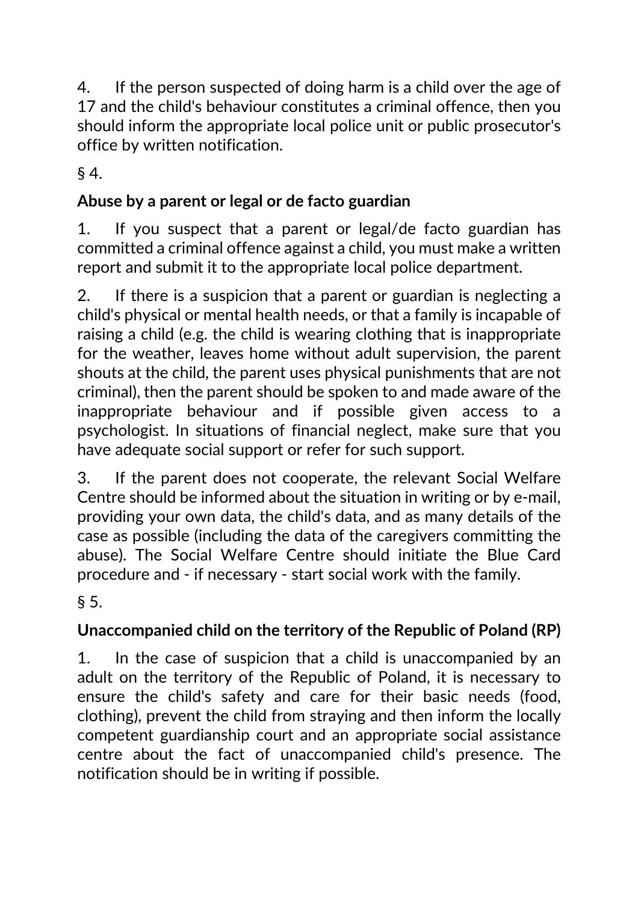4. If the person suspected of doing harm is a child over the age of 17 and the child's behaviour constitutes a criminal offence, then you should inform the appropriate local police unit or public prosecutor's office by written notification.

§ 4.

# **Abuse by a parent or legal or de facto guardian**

1. If you suspect that a parent or legal/de facto guardian has committed a criminal offence against a child, you must make a written report and submit it to the appropriate local police department.

2. If there is a suspicion that a parent or guardian is neglecting a child's physical or mental health needs, or that a family is incapable of raising a child (e.g. the child is wearing clothing that is inappropriate for the weather, leaves home without adult supervision, the parent shouts at the child, the parent uses physical punishments that are not criminal), then the parent should be spoken to and made aware of the inappropriate behaviour and if possible given access to a psychologist. In situations of financial neglect, make sure that you have adequate social support or refer for such support.

3. If the parent does not cooperate, the relevant Social Welfare Centre should be informed about the situation in writing or by e-mail, providing your own data, the child's data, and as many details of the case as possible (including the data of the caregivers committing the abuse). The Social Welfare Centre should initiate the Blue Card procedure and - if necessary - start social work with the family.

§ 5.

# **Unaccompanied child on the territory of the Republic of Poland (RP)**

1. In the case of suspicion that a child is unaccompanied by an adult on the territory of the Republic of Poland, it is necessary to ensure the child's safety and care for their basic needs (food, clothing), prevent the child from straying and then inform the locally competent guardianship court and an appropriate social assistance centre about the fact of unaccompanied child's presence. The notification should be in writing if possible.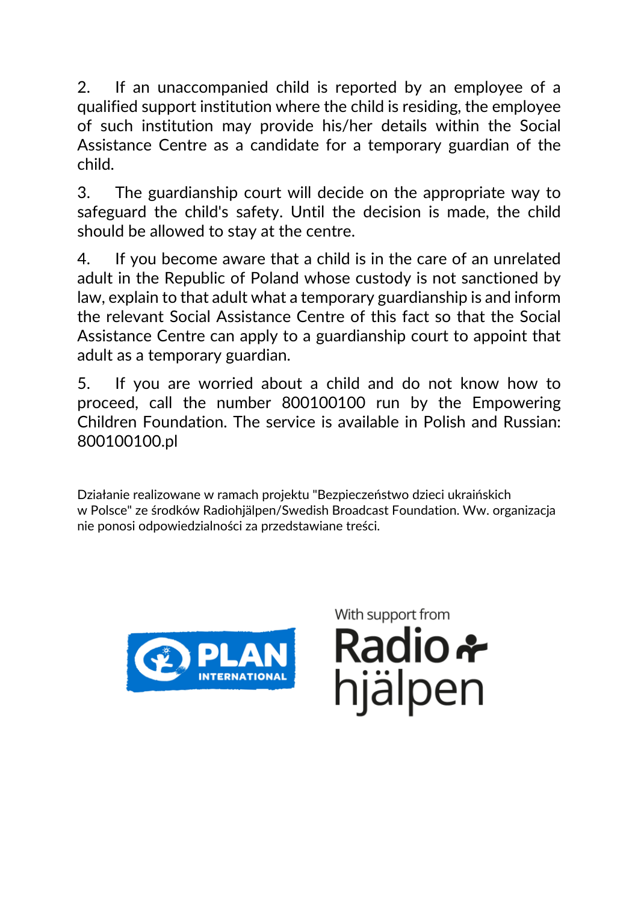2. If an unaccompanied child is reported by an employee of a qualified support institution where the child is residing, the employee of such institution may provide his/her details within the Social Assistance Centre as a candidate for a temporary guardian of the child.

3. The guardianship court will decide on the appropriate way to safeguard the child's safety. Until the decision is made, the child should be allowed to stay at the centre.

4. If you become aware that a child is in the care of an unrelated adult in the Republic of Poland whose custody is not sanctioned by law, explain to that adult what a temporary guardianship is and inform the relevant Social Assistance Centre of this fact so that the Social Assistance Centre can apply to a guardianship court to appoint that adult as a temporary guardian.

5. If you are worried about a child and do not know how to proceed, call the number 800100100 run by the Empowering Children Foundation. The service is available in Polish and Russian: 800100100.pl

Działanie realizowane w ramach projektu "Bezpieczeństwo dzieci ukraińskich w Polsce" ze środków Radiohjälpen/Swedish Broadcast Foundation. Ww. organizacja nie ponosi odpowiedzialności za przedstawiane treści.



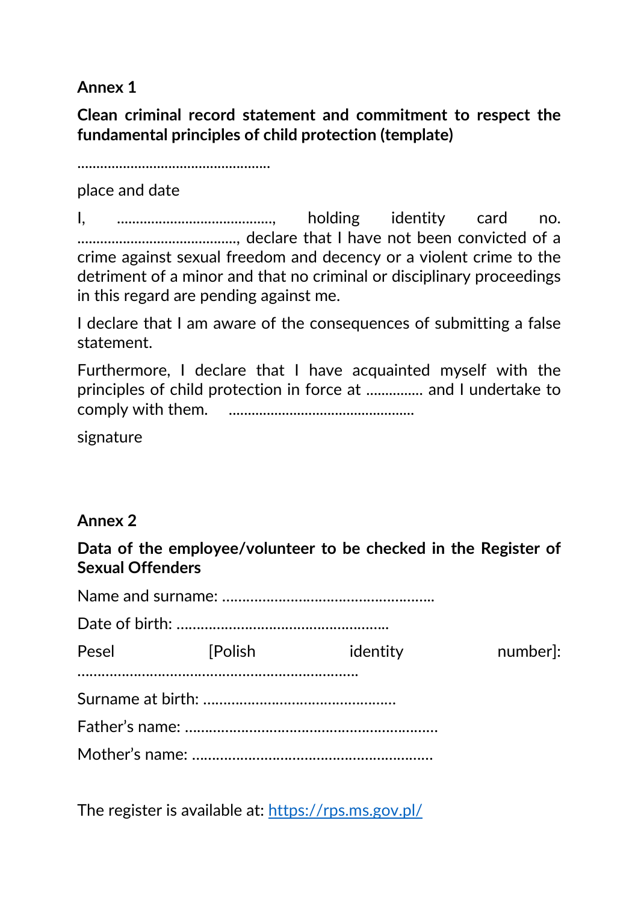**Annex 1**

**Clean criminal record statement and commitment to respect the fundamental principles of child protection (template)**

...................................................

place and date

I, ........................................., holding identity card no. .........................................., declare that I have not been convicted of a crime against sexual freedom and decency or a violent crime to the detriment of a minor and that no criminal or disciplinary proceedings in this regard are pending against me.

I declare that I am aware of the consequences of submitting a false statement.

Furthermore, I declare that I have acquainted myself with the principles of child protection in force at ............... and I undertake to comply with them. .................................................

signature

#### **Annex 2**

**Data of the employee/volunteer to be checked in the Register of Sexual Offenders**

| Pesel <b>Polish</b> | identity | number]: |
|---------------------|----------|----------|
|                     |          |          |
|                     |          |          |
|                     |          |          |
|                     |          |          |

The register is available at: https://rps.ms.gov.pl/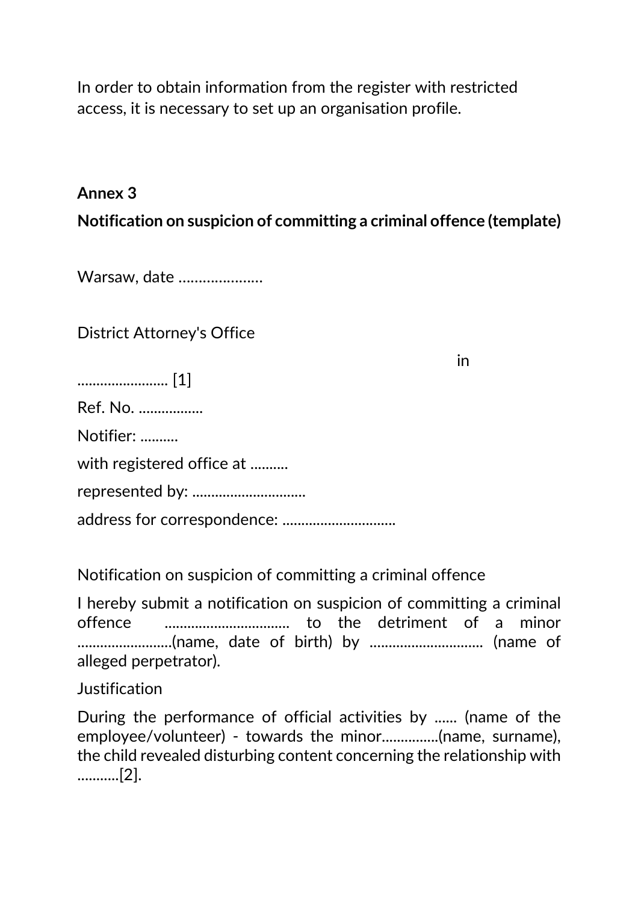In order to obtain information from the register with restricted access, it is necessary to set up an organisation profile.

### **Annex 3**

**Notification on suspicion of committing a criminal offence (template)**

Warsaw, date …………………

District Attorney's Office

........................ [1]

Ref. No. .................

Notifier: ..........

with registered office at ..........

represented by: ..............................

address for correspondence: ..............................

Notification on suspicion of committing a criminal offence

I hereby submit a notification on suspicion of committing a criminal offence ................................. to the detriment of a minor .........................(name, date of birth) by .............................. (name of alleged perpetrator).

Justification

During the performance of official activities by ...... (name of the employee/volunteer) - towards the minor...............(name, surname), the child revealed disturbing content concerning the relationship with ...........[2].

in the contract of the contract of the contract of the contract of the contract of the contract of the contract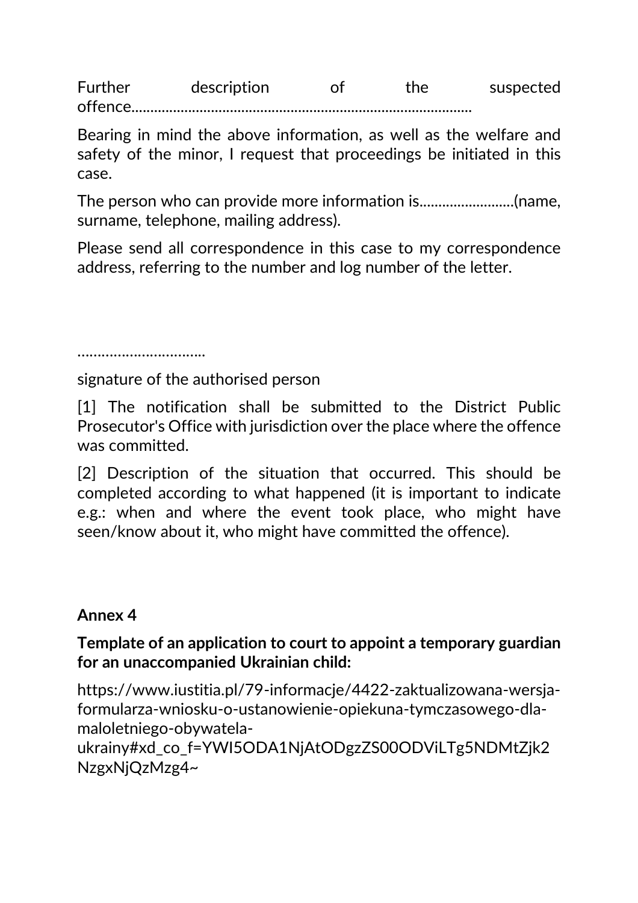Further description of the suspected offence..................

Bearing in mind the above information, as well as the welfare and safety of the minor, I request that proceedings be initiated in this case.

The person who can provide more information is.........................(name, surname, telephone, mailing address).

Please send all correspondence in this case to my correspondence address, referring to the number and log number of the letter.

………………………………

signature of the authorised person

[1] The notification shall be submitted to the District Public Prosecutor's Office with jurisdiction over the place where the offence was committed.

[2] Description of the situation that occurred. This should be completed according to what happened (it is important to indicate e.g.: when and where the event took place, who might have seen/know about it, who might have committed the offence).

## **Annex 4**

### **Template of an application to court to appoint a temporary guardian for an unaccompanied Ukrainian child:**

https://www.iustitia.pl/79-informacje/4422-zaktualizowana-wersjaformularza-wniosku-o-ustanowienie-opiekuna-tymczasowego-dlamaloletniego-obywatela-

ukrainy#xd co f=YWI5ODA1NjAtODgzZS00ODViLTg5NDMtZjk2 NzgxNjQzMzg4~